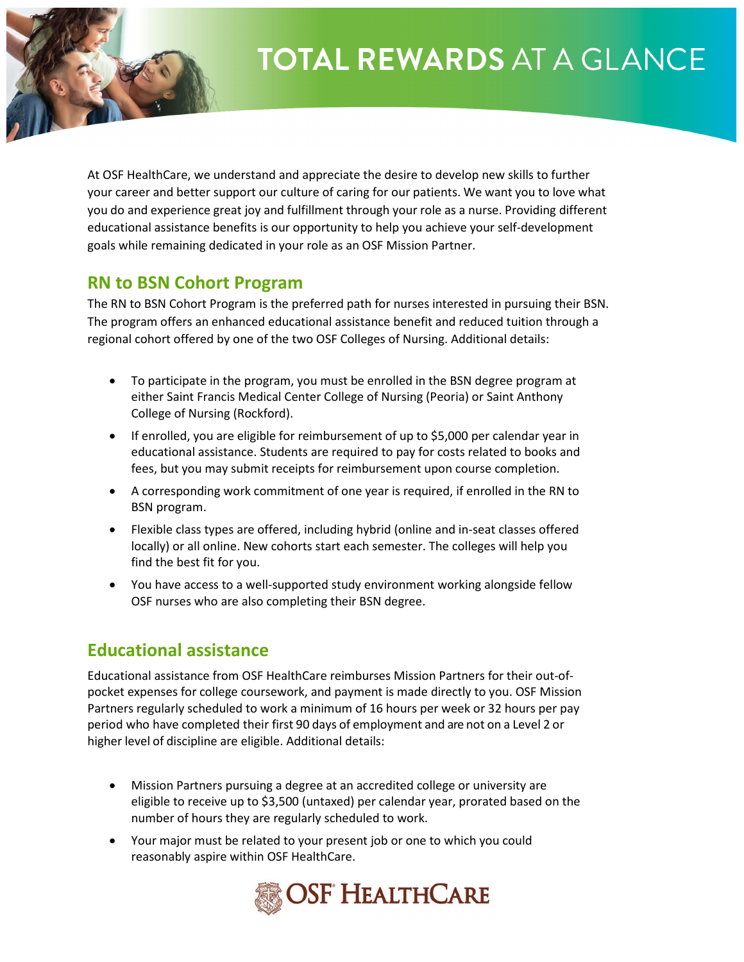# **TOTAL REWARDS AT A GLANCE**

At OSF HealthCare, we understand and appreciate the desire to develop new skills to further your career and better support our culture of caring for our patients. We want you to love what you do and experience great joy and fulfillment through your role as a nurse. Providing different educational assistance benefits is our opportunity to help you achieve your self-development goals while remaining dedicated in your role as an OSF Mission Partner.

### **RN to BSN Cohort Program**

The RN to BSN Cohort Program is the preferred path for nurses interested in pursuing their BSN. The program offers an enhanced educational assistance benefit and reduced tuition through a regional cohort offered by one of the two OSF Colleges of Nursing. Additional details:

- To participate in the program, you must be enrolled in the BSN degree program at either Saint Francis Medical Center College of Nursing (Peoria) or Saint Anthony College of Nursing (Rockford).
- If enrolled, you are eligible for reimbursement of up to \$5,000 per calendar year in educational assistance. Students are required to pay for costs related to books and fees, but you may submit receipts for reimbursement upon course completion.
- A corresponding work commitment of one year is required, if enrolled in the RN to BSN program.
- Flexible class types are offered, including hybrid (online and in-seat classes offered locally) or all online. New cohorts start each semester. The colleges will help you find the best fit for you.
- You have access to a well-supported study environment working alongside fellow OSF nurses who are also completing their BSN degree.

### **Educational assistance**

Educational assistance from OSF HealthCare reimburses Mission Partners for their out-ofpocket expenses for college coursework, and payment is made directly to you. OSF Mission Partners regularly scheduled to work a minimum of 16 hours per week or 32 hours per pay period who have completed their first 90 days of employment and are not on a Level 2 or higher level of discipline are eligible. Additional details:

- Mission Partners pursuing a degree at an accredited college or university are eligible to receive up to \$3,500 (untaxed) per calendar year, prorated based on the number of hours they are regularly scheduled to work.
- Your major must be related to your present job or one to which you could reasonably aspire within OSF HealthCare.